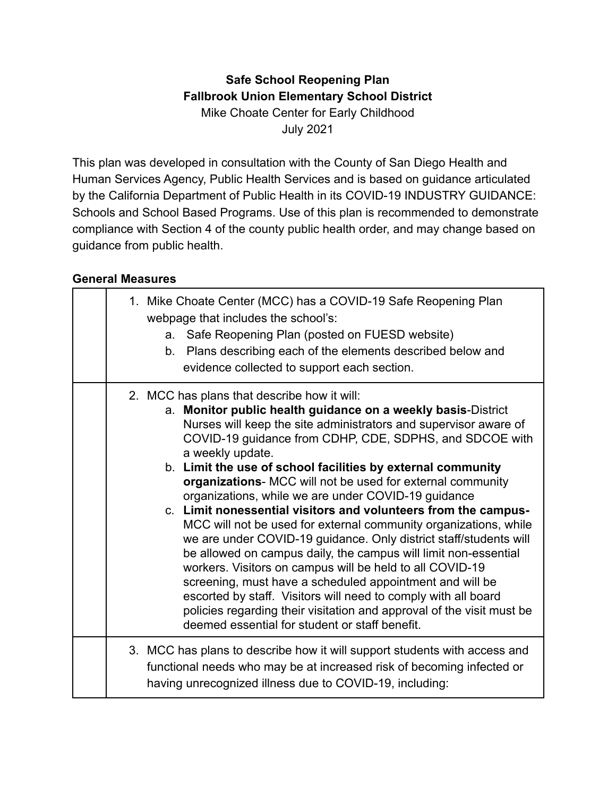### **Safe School Reopening Plan Fallbrook Union Elementary School District** Mike Choate Center for Early Childhood July 2021

This plan was developed in consultation with the County of San Diego Health and Human Services Agency, Public Health Services and is based on guidance articulated by the California Department of Public Health in its COVID-19 INDUSTRY GUIDANCE: Schools and School Based Programs. Use of this plan is recommended to demonstrate compliance with Section 4 of the county public health order, and may change based on guidance from public health.

#### **General Measures**

| 1. Mike Choate Center (MCC) has a COVID-19 Safe Reopening Plan<br>webpage that includes the school's:<br>Safe Reopening Plan (posted on FUESD website)<br>a.<br>b. Plans describing each of the elements described below and<br>evidence collected to support each section.                                                                                                                                                                                                                                                                                                                                                                                                                                                                                                                                                                                                                                                                                                                                                                           |
|-------------------------------------------------------------------------------------------------------------------------------------------------------------------------------------------------------------------------------------------------------------------------------------------------------------------------------------------------------------------------------------------------------------------------------------------------------------------------------------------------------------------------------------------------------------------------------------------------------------------------------------------------------------------------------------------------------------------------------------------------------------------------------------------------------------------------------------------------------------------------------------------------------------------------------------------------------------------------------------------------------------------------------------------------------|
| 2. MCC has plans that describe how it will:<br>a. Monitor public health guidance on a weekly basis-District<br>Nurses will keep the site administrators and supervisor aware of<br>COVID-19 guidance from CDHP, CDE, SDPHS, and SDCOE with<br>a weekly update.<br>b. Limit the use of school facilities by external community<br>organizations- MCC will not be used for external community<br>organizations, while we are under COVID-19 guidance<br>c. Limit nonessential visitors and volunteers from the campus-<br>MCC will not be used for external community organizations, while<br>we are under COVID-19 guidance. Only district staff/students will<br>be allowed on campus daily, the campus will limit non-essential<br>workers. Visitors on campus will be held to all COVID-19<br>screening, must have a scheduled appointment and will be<br>escorted by staff. Visitors will need to comply with all board<br>policies regarding their visitation and approval of the visit must be<br>deemed essential for student or staff benefit. |
| 3. MCC has plans to describe how it will support students with access and<br>functional needs who may be at increased risk of becoming infected or<br>having unrecognized illness due to COVID-19, including:                                                                                                                                                                                                                                                                                                                                                                                                                                                                                                                                                                                                                                                                                                                                                                                                                                         |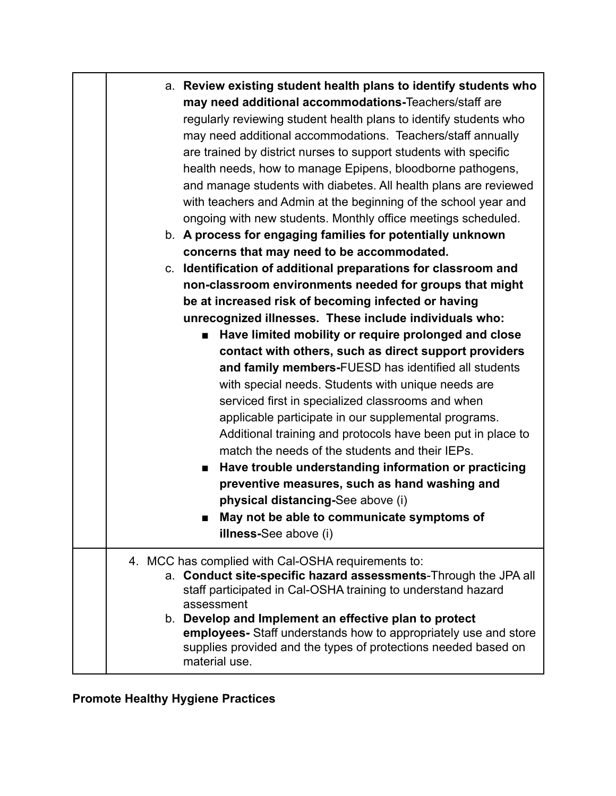| a. Review existing student health plans to identify students who<br>may need additional accommodations-Teachers/staff are<br>regularly reviewing student health plans to identify students who<br>may need additional accommodations. Teachers/staff annually<br>are trained by district nurses to support students with specific<br>health needs, how to manage Epipens, bloodborne pathogens,<br>and manage students with diabetes. All health plans are reviewed<br>with teachers and Admin at the beginning of the school year and<br>ongoing with new students. Monthly office meetings scheduled.<br>b. A process for engaging families for potentially unknown<br>concerns that may need to be accommodated. |
|---------------------------------------------------------------------------------------------------------------------------------------------------------------------------------------------------------------------------------------------------------------------------------------------------------------------------------------------------------------------------------------------------------------------------------------------------------------------------------------------------------------------------------------------------------------------------------------------------------------------------------------------------------------------------------------------------------------------|
| c. Identification of additional preparations for classroom and<br>non-classroom environments needed for groups that might                                                                                                                                                                                                                                                                                                                                                                                                                                                                                                                                                                                           |
| be at increased risk of becoming infected or having                                                                                                                                                                                                                                                                                                                                                                                                                                                                                                                                                                                                                                                                 |
| unrecognized illnesses. These include individuals who:                                                                                                                                                                                                                                                                                                                                                                                                                                                                                                                                                                                                                                                              |
| ■ Have limited mobility or require prolonged and close                                                                                                                                                                                                                                                                                                                                                                                                                                                                                                                                                                                                                                                              |
| contact with others, such as direct support providers                                                                                                                                                                                                                                                                                                                                                                                                                                                                                                                                                                                                                                                               |
| and family members-FUESD has identified all students                                                                                                                                                                                                                                                                                                                                                                                                                                                                                                                                                                                                                                                                |
| with special needs. Students with unique needs are                                                                                                                                                                                                                                                                                                                                                                                                                                                                                                                                                                                                                                                                  |
| serviced first in specialized classrooms and when                                                                                                                                                                                                                                                                                                                                                                                                                                                                                                                                                                                                                                                                   |
| applicable participate in our supplemental programs.                                                                                                                                                                                                                                                                                                                                                                                                                                                                                                                                                                                                                                                                |
| Additional training and protocols have been put in place to                                                                                                                                                                                                                                                                                                                                                                                                                                                                                                                                                                                                                                                         |
| match the needs of the students and their IEPs.                                                                                                                                                                                                                                                                                                                                                                                                                                                                                                                                                                                                                                                                     |
| ■ Have trouble understanding information or practicing<br>preventive measures, such as hand washing and                                                                                                                                                                                                                                                                                                                                                                                                                                                                                                                                                                                                             |
| physical distancing-See above (i)                                                                                                                                                                                                                                                                                                                                                                                                                                                                                                                                                                                                                                                                                   |
| May not be able to communicate symptoms of<br>п                                                                                                                                                                                                                                                                                                                                                                                                                                                                                                                                                                                                                                                                     |
| illness-See above (i)                                                                                                                                                                                                                                                                                                                                                                                                                                                                                                                                                                                                                                                                                               |
|                                                                                                                                                                                                                                                                                                                                                                                                                                                                                                                                                                                                                                                                                                                     |
| 4. MCC has complied with Cal-OSHA requirements to:<br>a. Conduct site-specific hazard assessments-Through the JPA all                                                                                                                                                                                                                                                                                                                                                                                                                                                                                                                                                                                               |
| staff participated in Cal-OSHA training to understand hazard                                                                                                                                                                                                                                                                                                                                                                                                                                                                                                                                                                                                                                                        |
| assessment<br>b. Develop and Implement an effective plan to protect                                                                                                                                                                                                                                                                                                                                                                                                                                                                                                                                                                                                                                                 |
| employees- Staff understands how to appropriately use and store                                                                                                                                                                                                                                                                                                                                                                                                                                                                                                                                                                                                                                                     |
| supplies provided and the types of protections needed based on<br>material use.                                                                                                                                                                                                                                                                                                                                                                                                                                                                                                                                                                                                                                     |

# **Promote Healthy Hygiene Practices**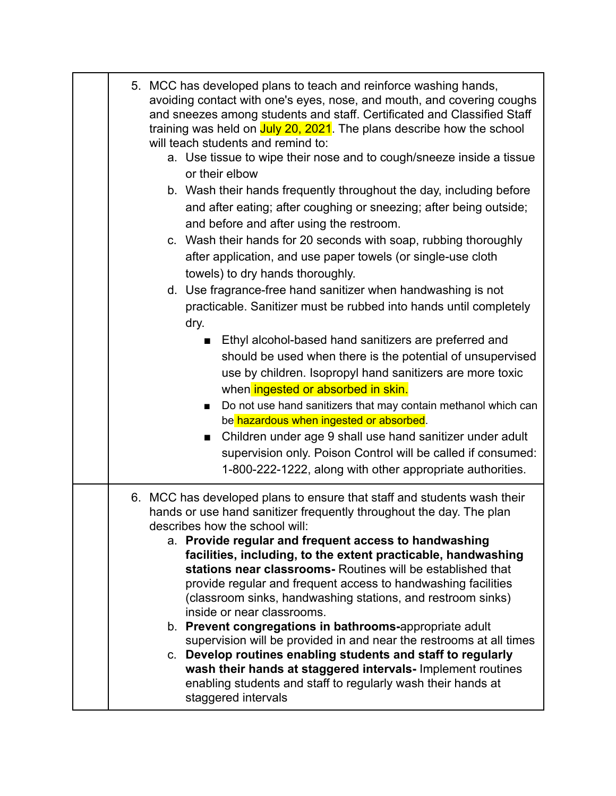| 5. MCC has developed plans to teach and reinforce washing hands,<br>avoiding contact with one's eyes, nose, and mouth, and covering coughs<br>and sneezes among students and staff. Certificated and Classified Staff<br>training was held on July 20, 2021. The plans describe how the school<br>will teach students and remind to:<br>a. Use tissue to wipe their nose and to cough/sneeze inside a tissue<br>or their elbow                                                                                                                                                                                                                                                                                                                                                                                                                                                                  |
|-------------------------------------------------------------------------------------------------------------------------------------------------------------------------------------------------------------------------------------------------------------------------------------------------------------------------------------------------------------------------------------------------------------------------------------------------------------------------------------------------------------------------------------------------------------------------------------------------------------------------------------------------------------------------------------------------------------------------------------------------------------------------------------------------------------------------------------------------------------------------------------------------|
| b. Wash their hands frequently throughout the day, including before<br>and after eating; after coughing or sneezing; after being outside;<br>and before and after using the restroom.<br>c. Wash their hands for 20 seconds with soap, rubbing thoroughly<br>after application, and use paper towels (or single-use cloth<br>towels) to dry hands thoroughly.                                                                                                                                                                                                                                                                                                                                                                                                                                                                                                                                   |
| d. Use fragrance-free hand sanitizer when handwashing is not<br>practicable. Sanitizer must be rubbed into hands until completely<br>dry.                                                                                                                                                                                                                                                                                                                                                                                                                                                                                                                                                                                                                                                                                                                                                       |
| Ethyl alcohol-based hand sanitizers are preferred and<br>$\blacksquare$<br>should be used when there is the potential of unsupervised<br>use by children. Isopropyl hand sanitizers are more toxic<br>when ingested or absorbed in skin.<br>Do not use hand sanitizers that may contain methanol which can<br>be hazardous when ingested or absorbed.<br>Children under age 9 shall use hand sanitizer under adult<br>$\blacksquare$<br>supervision only. Poison Control will be called if consumed:<br>1-800-222-1222, along with other appropriate authorities.                                                                                                                                                                                                                                                                                                                               |
| 6. MCC has developed plans to ensure that staff and students wash their<br>hands or use hand sanitizer frequently throughout the day. The plan<br>describes how the school will:<br>a. Provide regular and frequent access to handwashing<br>facilities, including, to the extent practicable, handwashing<br>stations near classrooms- Routines will be established that<br>provide regular and frequent access to handwashing facilities<br>(classroom sinks, handwashing stations, and restroom sinks)<br>inside or near classrooms.<br>b. Prevent congregations in bathrooms-appropriate adult<br>supervision will be provided in and near the restrooms at all times<br>c. Develop routines enabling students and staff to regularly<br>wash their hands at staggered intervals- Implement routines<br>enabling students and staff to regularly wash their hands at<br>staggered intervals |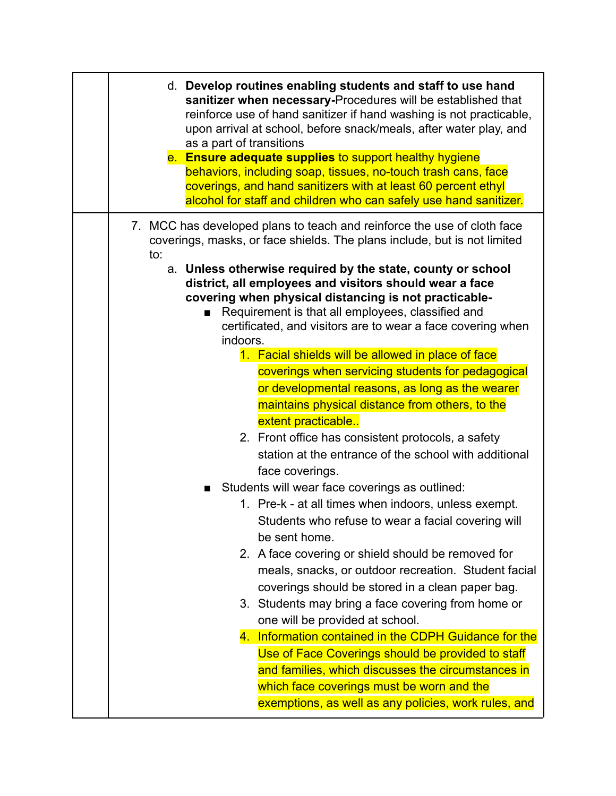| e. Ensure adequate supplies to support healthy hygiene<br>behaviors, including soap, tissues, no-touch trash cans, face<br>coverings, and hand sanitizers with at least 60 percent ethyl<br>alcohol for staff and children who can safely use hand sanitizer.                                                        |
|----------------------------------------------------------------------------------------------------------------------------------------------------------------------------------------------------------------------------------------------------------------------------------------------------------------------|
| 7. MCC has developed plans to teach and reinforce the use of cloth face<br>coverings, masks, or face shields. The plans include, but is not limited<br>to:                                                                                                                                                           |
| a. Unless otherwise required by the state, county or school<br>district, all employees and visitors should wear a face<br>covering when physical distancing is not practicable-<br>Requirement is that all employees, classified and<br>■<br>certificated, and visitors are to wear a face covering when<br>indoors. |
| 1. Facial shields will be allowed in place of face                                                                                                                                                                                                                                                                   |
| coverings when servicing students for pedagogical                                                                                                                                                                                                                                                                    |
| or developmental reasons, as long as the wearer                                                                                                                                                                                                                                                                      |
| maintains physical distance from others, to the                                                                                                                                                                                                                                                                      |
| extent practicable                                                                                                                                                                                                                                                                                                   |
| 2. Front office has consistent protocols, a safety                                                                                                                                                                                                                                                                   |
| station at the entrance of the school with additional                                                                                                                                                                                                                                                                |
| face coverings.                                                                                                                                                                                                                                                                                                      |
| Students will wear face coverings as outlined:                                                                                                                                                                                                                                                                       |
| 1. Pre-k - at all times when indoors, unless exempt.<br>Students who refuse to wear a facial covering will<br>be sent home.                                                                                                                                                                                          |
| 2. A face covering or shield should be removed for                                                                                                                                                                                                                                                                   |
| meals, snacks, or outdoor recreation. Student facial                                                                                                                                                                                                                                                                 |
| coverings should be stored in a clean paper bag.                                                                                                                                                                                                                                                                     |
| 3. Students may bring a face covering from home or                                                                                                                                                                                                                                                                   |
| one will be provided at school.                                                                                                                                                                                                                                                                                      |
| 4. Information contained in the CDPH Guidance for the                                                                                                                                                                                                                                                                |
| Use of Face Coverings should be provided to staff                                                                                                                                                                                                                                                                    |
| and families, which discusses the circumstances in                                                                                                                                                                                                                                                                   |
| which face coverings must be worn and the                                                                                                                                                                                                                                                                            |
| exemptions, as well as any policies, work rules, and                                                                                                                                                                                                                                                                 |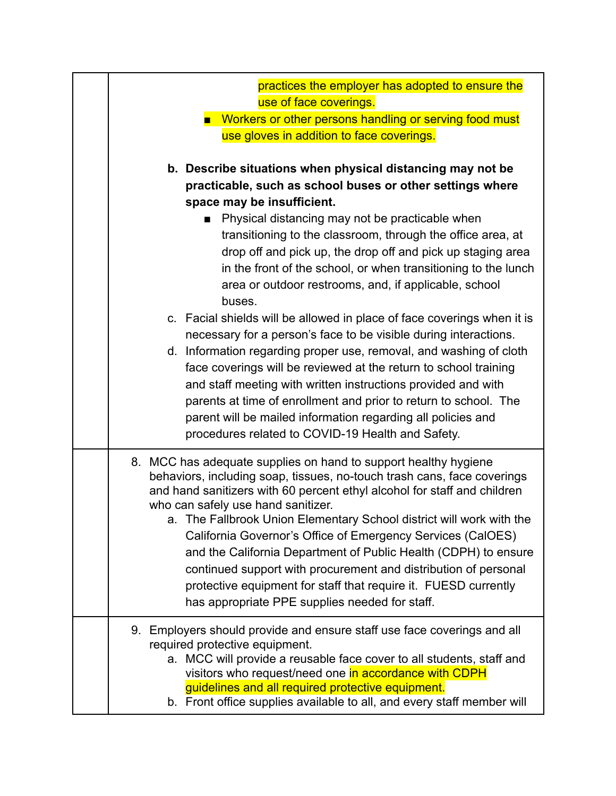| practices the employer has adopted to ensure the<br>use of face coverings.                                                                                                                                                                                                                                                                                                                                                                                                                                                                                                                                                                                     |
|----------------------------------------------------------------------------------------------------------------------------------------------------------------------------------------------------------------------------------------------------------------------------------------------------------------------------------------------------------------------------------------------------------------------------------------------------------------------------------------------------------------------------------------------------------------------------------------------------------------------------------------------------------------|
| <b>Norkers or other persons handling or serving food must</b>                                                                                                                                                                                                                                                                                                                                                                                                                                                                                                                                                                                                  |
| use gloves in addition to face coverings.                                                                                                                                                                                                                                                                                                                                                                                                                                                                                                                                                                                                                      |
|                                                                                                                                                                                                                                                                                                                                                                                                                                                                                                                                                                                                                                                                |
| b. Describe situations when physical distancing may not be<br>practicable, such as school buses or other settings where<br>space may be insufficient.<br>Physical distancing may not be practicable when<br>transitioning to the classroom, through the office area, at<br>drop off and pick up, the drop off and pick up staging area<br>in the front of the school, or when transitioning to the lunch<br>area or outdoor restrooms, and, if applicable, school                                                                                                                                                                                              |
| buses.<br>c. Facial shields will be allowed in place of face coverings when it is<br>necessary for a person's face to be visible during interactions.<br>d. Information regarding proper use, removal, and washing of cloth<br>face coverings will be reviewed at the return to school training<br>and staff meeting with written instructions provided and with<br>parents at time of enrollment and prior to return to school. The<br>parent will be mailed information regarding all policies and<br>procedures related to COVID-19 Health and Safety.                                                                                                      |
| 8. MCC has adequate supplies on hand to support healthy hygiene<br>behaviors, including soap, tissues, no-touch trash cans, face coverings<br>and hand sanitizers with 60 percent ethyl alcohol for staff and children<br>who can safely use hand sanitizer.<br>a. The Fallbrook Union Elementary School district will work with the<br>California Governor's Office of Emergency Services (CalOES)<br>and the California Department of Public Health (CDPH) to ensure<br>continued support with procurement and distribution of personal<br>protective equipment for staff that require it. FUESD currently<br>has appropriate PPE supplies needed for staff. |
| 9. Employers should provide and ensure staff use face coverings and all<br>required protective equipment.<br>a. MCC will provide a reusable face cover to all students, staff and<br>visitors who request/need one in accordance with CDPH<br>guidelines and all required protective equipment.<br>b. Front office supplies available to all, and every staff member will                                                                                                                                                                                                                                                                                      |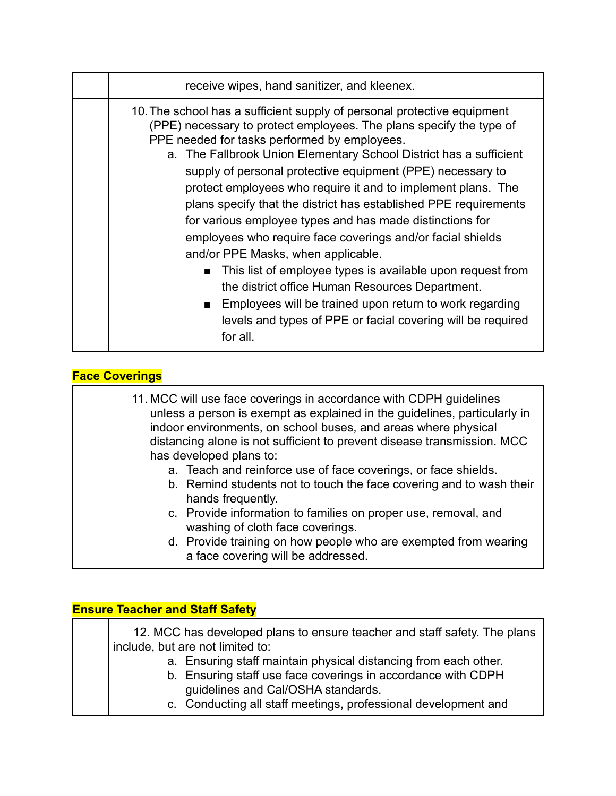| receive wipes, hand sanitizer, and kleenex.                                                                                                                                                                                                                                                                                                                                                                                                                                                                                                                                                                                                                                                                                                                                                                        |
|--------------------------------------------------------------------------------------------------------------------------------------------------------------------------------------------------------------------------------------------------------------------------------------------------------------------------------------------------------------------------------------------------------------------------------------------------------------------------------------------------------------------------------------------------------------------------------------------------------------------------------------------------------------------------------------------------------------------------------------------------------------------------------------------------------------------|
| 10. The school has a sufficient supply of personal protective equipment<br>(PPE) necessary to protect employees. The plans specify the type of<br>PPE needed for tasks performed by employees.<br>a. The Fallbrook Union Elementary School District has a sufficient<br>supply of personal protective equipment (PPE) necessary to<br>protect employees who require it and to implement plans. The<br>plans specify that the district has established PPE requirements<br>for various employee types and has made distinctions for<br>employees who require face coverings and/or facial shields<br>and/or PPE Masks, when applicable.<br>This list of employee types is available upon request from<br>the district office Human Resources Department.<br>Employees will be trained upon return to work regarding |
| levels and types of PPE or facial covering will be required<br>for all.                                                                                                                                                                                                                                                                                                                                                                                                                                                                                                                                                                                                                                                                                                                                            |

| <b>Face Coverings</b> |                                                                                                                                                                                                                                                                                                                                                                                                                                                                  |  |
|-----------------------|------------------------------------------------------------------------------------------------------------------------------------------------------------------------------------------------------------------------------------------------------------------------------------------------------------------------------------------------------------------------------------------------------------------------------------------------------------------|--|
|                       | 11. MCC will use face coverings in accordance with CDPH guidelines<br>unless a person is exempt as explained in the guidelines, particularly in<br>indoor environments, on school buses, and areas where physical<br>distancing alone is not sufficient to prevent disease transmission. MCC<br>has developed plans to:<br>a. Teach and reinforce use of face coverings, or face shields.<br>b. Remind students not to touch the face covering and to wash their |  |
|                       | hands frequently.                                                                                                                                                                                                                                                                                                                                                                                                                                                |  |
|                       | c. Provide information to families on proper use, removal, and<br>washing of cloth face coverings.                                                                                                                                                                                                                                                                                                                                                               |  |
|                       | d. Provide training on how people who are exempted from wearing<br>a face covering will be addressed.                                                                                                                                                                                                                                                                                                                                                            |  |

## **Ensure Teacher and Staff Safety**

| 12. MCC has developed plans to ensure teacher and staff safety. The plans<br>include, but are not limited to:                                                         |
|-----------------------------------------------------------------------------------------------------------------------------------------------------------------------|
| a. Ensuring staff maintain physical distancing from each other.<br>b. Ensuring staff use face coverings in accordance with CDPH<br>guidelines and Cal/OSHA standards. |
| c. Conducting all staff meetings, professional development and                                                                                                        |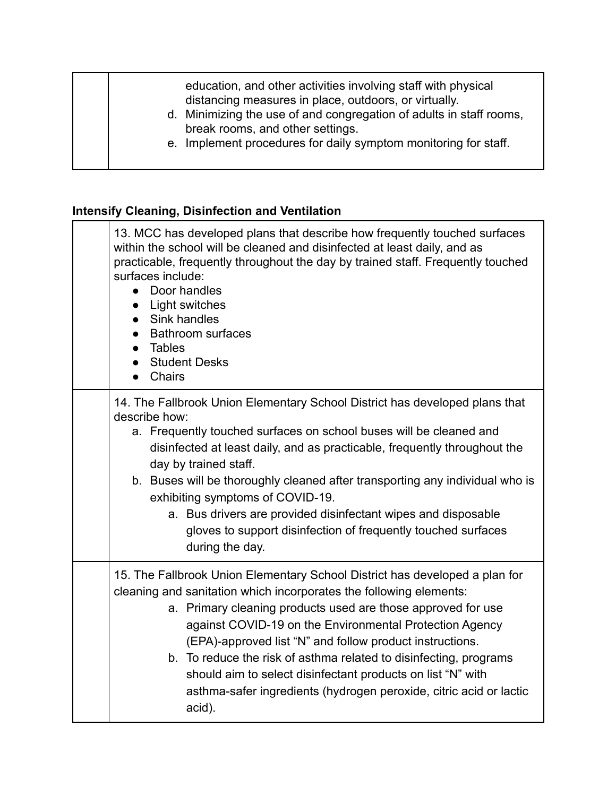| education, and other activities involving staff with physical<br>distancing measures in place, outdoors, or virtually.<br>d. Minimizing the use of and congregation of adults in staff rooms,<br>break rooms, and other settings.<br>e. Implement procedures for daily symptom monitoring for staff. |  |
|------------------------------------------------------------------------------------------------------------------------------------------------------------------------------------------------------------------------------------------------------------------------------------------------------|--|
|------------------------------------------------------------------------------------------------------------------------------------------------------------------------------------------------------------------------------------------------------------------------------------------------------|--|

## **Intensify Cleaning, Disinfection and Ventilation**

| 13. MCC has developed plans that describe how frequently touched surfaces<br>within the school will be cleaned and disinfected at least daily, and as<br>practicable, frequently throughout the day by trained staff. Frequently touched<br>surfaces include:<br>Door handles<br>$\bullet$<br>Light switches<br>$\bullet$<br>Sink handles<br><b>Bathroom surfaces</b><br>Tables<br><b>Student Desks</b><br>Chairs                                                                                                                                            |
|--------------------------------------------------------------------------------------------------------------------------------------------------------------------------------------------------------------------------------------------------------------------------------------------------------------------------------------------------------------------------------------------------------------------------------------------------------------------------------------------------------------------------------------------------------------|
| 14. The Fallbrook Union Elementary School District has developed plans that<br>describe how:<br>a. Frequently touched surfaces on school buses will be cleaned and<br>disinfected at least daily, and as practicable, frequently throughout the<br>day by trained staff.<br>b. Buses will be thoroughly cleaned after transporting any individual who is                                                                                                                                                                                                     |
| exhibiting symptoms of COVID-19.<br>a. Bus drivers are provided disinfectant wipes and disposable<br>gloves to support disinfection of frequently touched surfaces<br>during the day.                                                                                                                                                                                                                                                                                                                                                                        |
| 15. The Fallbrook Union Elementary School District has developed a plan for<br>cleaning and sanitation which incorporates the following elements:<br>a. Primary cleaning products used are those approved for use<br>against COVID-19 on the Environmental Protection Agency<br>(EPA)-approved list "N" and follow product instructions.<br>b. To reduce the risk of asthma related to disinfecting, programs<br>should aim to select disinfectant products on list "N" with<br>asthma-safer ingredients (hydrogen peroxide, citric acid or lactic<br>acid). |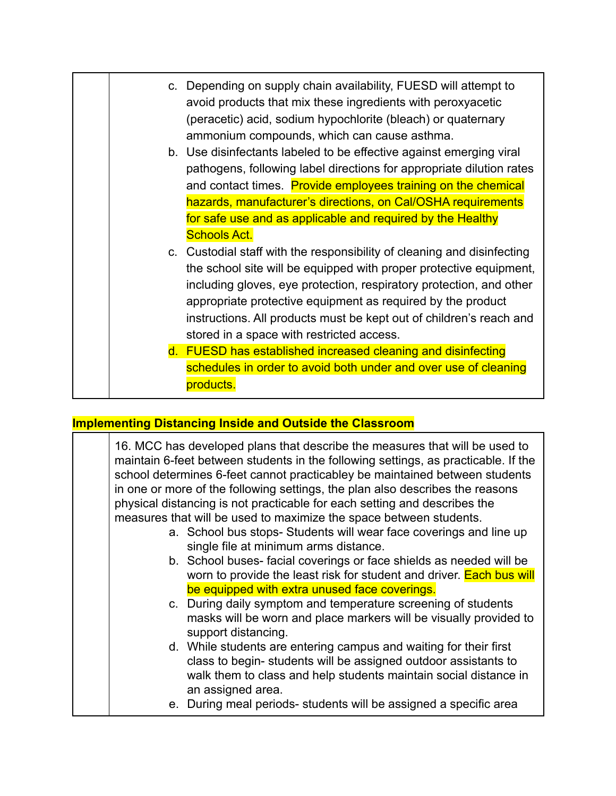|  | c. Depending on supply chain availability, FUESD will attempt to<br>avoid products that mix these ingredients with peroxyacetic<br>(peracetic) acid, sodium hypochlorite (bleach) or quaternary<br>ammonium compounds, which can cause asthma.                                                                                                                                                          |
|--|---------------------------------------------------------------------------------------------------------------------------------------------------------------------------------------------------------------------------------------------------------------------------------------------------------------------------------------------------------------------------------------------------------|
|  | b. Use disinfectants labeled to be effective against emerging viral<br>pathogens, following label directions for appropriate dilution rates<br>and contact times. Provide employees training on the chemical<br>hazards, manufacturer's directions, on Cal/OSHA requirements                                                                                                                            |
|  | for safe use and as applicable and required by the Healthy<br><b>Schools Act.</b>                                                                                                                                                                                                                                                                                                                       |
|  | c. Custodial staff with the responsibility of cleaning and disinfecting<br>the school site will be equipped with proper protective equipment,<br>including gloves, eye protection, respiratory protection, and other<br>appropriate protective equipment as required by the product<br>instructions. All products must be kept out of children's reach and<br>stored in a space with restricted access. |
|  | d. FUESD has established increased cleaning and disinfecting                                                                                                                                                                                                                                                                                                                                            |
|  | schedules in order to avoid both under and over use of cleaning<br>products.                                                                                                                                                                                                                                                                                                                            |

#### **Implementing Distancing Inside and Outside the Classroom**

16. MCC has developed plans that describe the measures that will be used to maintain 6-feet between students in the following settings, as practicable. If the school determines 6-feet cannot practicabley be maintained between students in one or more of the following settings, the plan also describes the reasons physical distancing is not practicable for each setting and describes the measures that will be used to maximize the space between students.

- a. School bus stops- Students will wear face coverings and line up single file at minimum arms distance.
- b. School buses- facial coverings or face shields as needed will be worn to provide the least risk for student and driver. Each bus will be equipped with extra unused face coverings.
- c. During daily symptom and temperature screening of students masks will be worn and place markers will be visually provided to support distancing.
- d. While students are entering campus and waiting for their first class to begin- students will be assigned outdoor assistants to walk them to class and help students maintain social distance in an assigned area.
- e. During meal periods- students will be assigned a specific area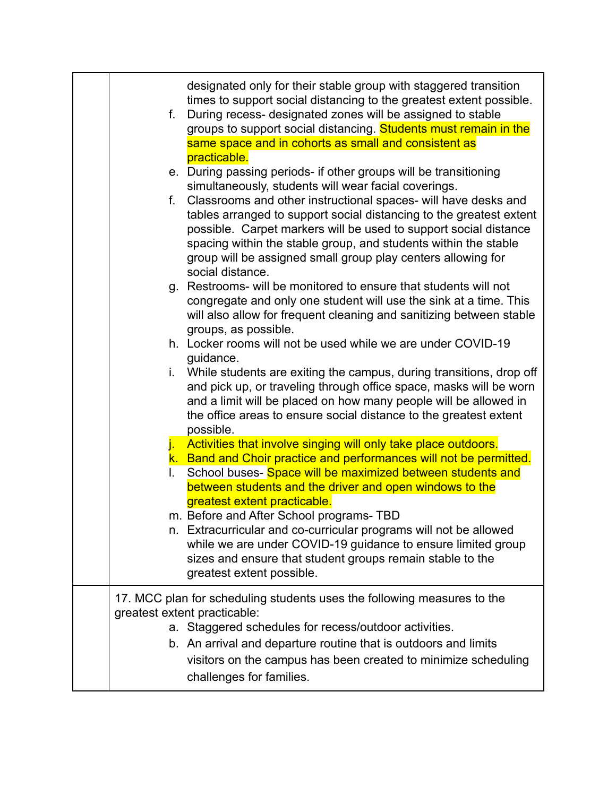| designated only for their stable group with staggered transition<br>times to support social distancing to the greatest extent possible.<br>During recess- designated zones will be assigned to stable<br>f.<br>groups to support social distancing. Students must remain in the<br>same space and in cohorts as small and consistent as<br>practicable.                                                                                                                                         |
|-------------------------------------------------------------------------------------------------------------------------------------------------------------------------------------------------------------------------------------------------------------------------------------------------------------------------------------------------------------------------------------------------------------------------------------------------------------------------------------------------|
| e. During passing periods- if other groups will be transitioning<br>simultaneously, students will wear facial coverings.<br>f. Classrooms and other instructional spaces- will have desks and<br>tables arranged to support social distancing to the greatest extent<br>possible. Carpet markers will be used to support social distance<br>spacing within the stable group, and students within the stable<br>group will be assigned small group play centers allowing for<br>social distance. |
| g. Restrooms- will be monitored to ensure that students will not<br>congregate and only one student will use the sink at a time. This<br>will also allow for frequent cleaning and sanitizing between stable<br>groups, as possible.                                                                                                                                                                                                                                                            |
| h. Locker rooms will not be used while we are under COVID-19<br>guidance.                                                                                                                                                                                                                                                                                                                                                                                                                       |
| i. While students are exiting the campus, during transitions, drop off<br>and pick up, or traveling through office space, masks will be worn<br>and a limit will be placed on how many people will be allowed in<br>the office areas to ensure social distance to the greatest extent<br>possible.                                                                                                                                                                                              |
| Activities that involve singing will only take place outdoors.<br>j.,<br>k. Band and Choir practice and performances will not be permitted.<br>School buses- Space will be maximized between students and<br>L.<br>between students and the driver and open windows to the                                                                                                                                                                                                                      |
| greatest extent practicable.<br>m. Before and After School programs- TBD<br>n. Extracurricular and co-curricular programs will not be allowed<br>while we are under COVID-19 guidance to ensure limited group<br>sizes and ensure that student groups remain stable to the<br>greatest extent possible.                                                                                                                                                                                         |
| 17. MCC plan for scheduling students uses the following measures to the<br>greatest extent practicable:<br>a. Staggered schedules for recess/outdoor activities.                                                                                                                                                                                                                                                                                                                                |
| b. An arrival and departure routine that is outdoors and limits<br>visitors on the campus has been created to minimize scheduling<br>challenges for families.                                                                                                                                                                                                                                                                                                                                   |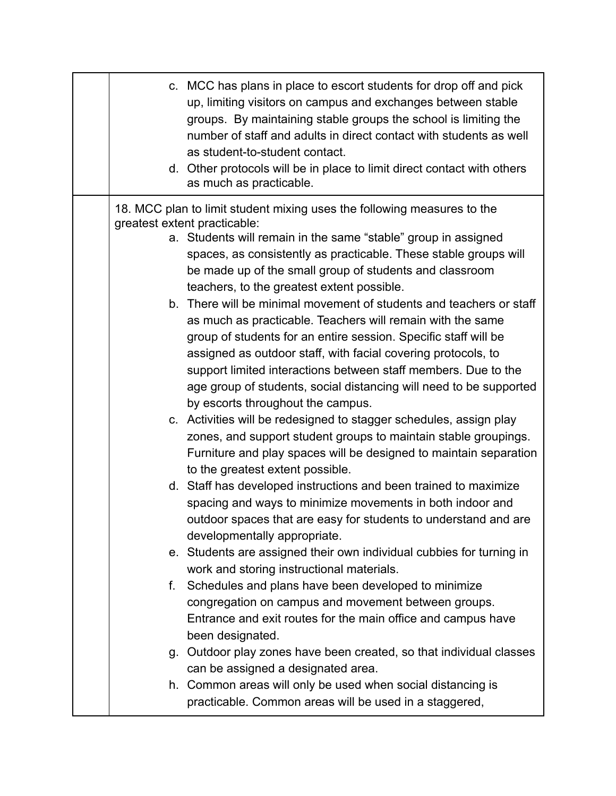|    | c. MCC has plans in place to escort students for drop off and pick<br>up, limiting visitors on campus and exchanges between stable<br>groups. By maintaining stable groups the school is limiting the<br>number of staff and adults in direct contact with students as well<br>as student-to-student contact.<br>d. Other protocols will be in place to limit direct contact with others<br>as much as practicable.                                                                                                                                                                                                                                                                                                                                                                                                                                                                                                                                                                                                                                                                                                                                                                                                                                                                                                                                                                                                                                                                                                                                                                                                                                                                                                                                                                                                                                             |
|----|-----------------------------------------------------------------------------------------------------------------------------------------------------------------------------------------------------------------------------------------------------------------------------------------------------------------------------------------------------------------------------------------------------------------------------------------------------------------------------------------------------------------------------------------------------------------------------------------------------------------------------------------------------------------------------------------------------------------------------------------------------------------------------------------------------------------------------------------------------------------------------------------------------------------------------------------------------------------------------------------------------------------------------------------------------------------------------------------------------------------------------------------------------------------------------------------------------------------------------------------------------------------------------------------------------------------------------------------------------------------------------------------------------------------------------------------------------------------------------------------------------------------------------------------------------------------------------------------------------------------------------------------------------------------------------------------------------------------------------------------------------------------------------------------------------------------------------------------------------------------|
| f. | 18. MCC plan to limit student mixing uses the following measures to the<br>greatest extent practicable:<br>a. Students will remain in the same "stable" group in assigned<br>spaces, as consistently as practicable. These stable groups will<br>be made up of the small group of students and classroom<br>teachers, to the greatest extent possible.<br>b. There will be minimal movement of students and teachers or staff<br>as much as practicable. Teachers will remain with the same<br>group of students for an entire session. Specific staff will be<br>assigned as outdoor staff, with facial covering protocols, to<br>support limited interactions between staff members. Due to the<br>age group of students, social distancing will need to be supported<br>by escorts throughout the campus.<br>c. Activities will be redesigned to stagger schedules, assign play<br>zones, and support student groups to maintain stable groupings.<br>Furniture and play spaces will be designed to maintain separation<br>to the greatest extent possible.<br>d. Staff has developed instructions and been trained to maximize<br>spacing and ways to minimize movements in both indoor and<br>outdoor spaces that are easy for students to understand and are<br>developmentally appropriate.<br>e. Students are assigned their own individual cubbies for turning in<br>work and storing instructional materials.<br>Schedules and plans have been developed to minimize<br>congregation on campus and movement between groups.<br>Entrance and exit routes for the main office and campus have<br>been designated.<br>g. Outdoor play zones have been created, so that individual classes<br>can be assigned a designated area.<br>h. Common areas will only be used when social distancing is<br>practicable. Common areas will be used in a staggered, |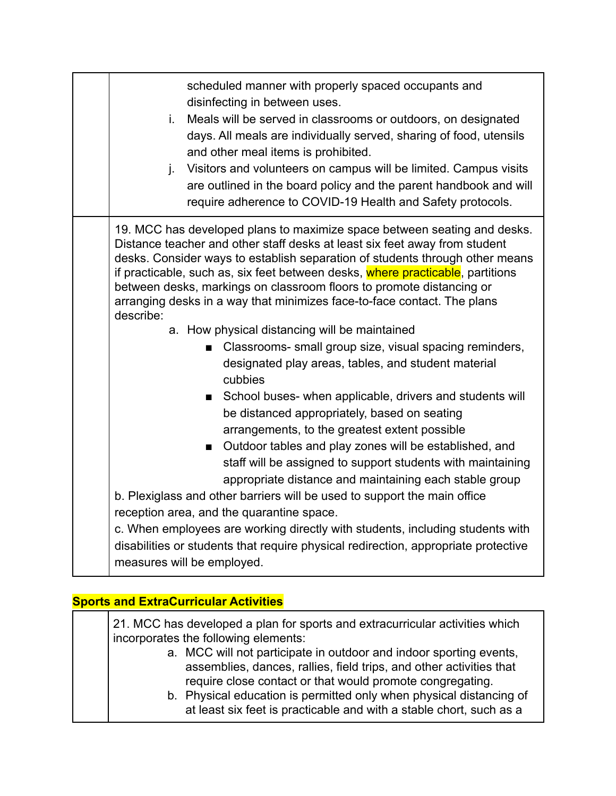| scheduled manner with properly spaced occupants and<br>disinfecting in between uses.<br>Meals will be served in classrooms or outdoors, on designated<br>j.<br>days. All meals are individually served, sharing of food, utensils<br>and other meal items is prohibited.<br>Visitors and volunteers on campus will be limited. Campus visits<br>j.<br>are outlined in the board policy and the parent handbook and will<br>require adherence to COVID-19 Health and Safety protocols.                                                                                                                                                                                                                                                                                                                                                                                                                                                                                                                                                                                                                                                                                                                                                                                                                                                                                                         |
|-----------------------------------------------------------------------------------------------------------------------------------------------------------------------------------------------------------------------------------------------------------------------------------------------------------------------------------------------------------------------------------------------------------------------------------------------------------------------------------------------------------------------------------------------------------------------------------------------------------------------------------------------------------------------------------------------------------------------------------------------------------------------------------------------------------------------------------------------------------------------------------------------------------------------------------------------------------------------------------------------------------------------------------------------------------------------------------------------------------------------------------------------------------------------------------------------------------------------------------------------------------------------------------------------------------------------------------------------------------------------------------------------|
| 19. MCC has developed plans to maximize space between seating and desks.<br>Distance teacher and other staff desks at least six feet away from student<br>desks. Consider ways to establish separation of students through other means<br>if practicable, such as, six feet between desks, where practicable, partitions<br>between desks, markings on classroom floors to promote distancing or<br>arranging desks in a way that minimizes face-to-face contact. The plans<br>describe:<br>a. How physical distancing will be maintained<br>Classrooms- small group size, visual spacing reminders,<br>п<br>designated play areas, tables, and student material<br>cubbies<br>School buses- when applicable, drivers and students will<br>$\blacksquare$<br>be distanced appropriately, based on seating<br>arrangements, to the greatest extent possible<br>Outdoor tables and play zones will be established, and<br>$\blacksquare$<br>staff will be assigned to support students with maintaining<br>appropriate distance and maintaining each stable group<br>b. Plexiglass and other barriers will be used to support the main office<br>reception area, and the quarantine space.<br>c. When employees are working directly with students, including students with<br>disabilities or students that require physical redirection, appropriate protective<br>measures will be employed. |

#### **Sports and ExtraCurricular Activities**

21. MCC has developed a plan for sports and extracurricular activities which incorporates the following elements: a. MCC will not participate in outdoor and indoor sporting events, assemblies, dances, rallies, field trips, and other activities that require close contact or that would promote congregating. b. Physical education is permitted only when physical distancing of at least six feet is practicable and with a stable chort, such as a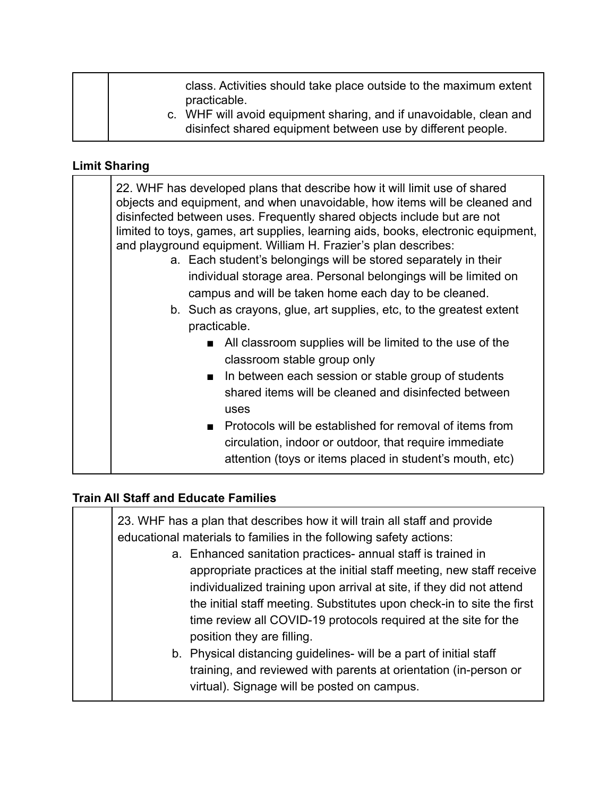| class. Activities should take place outside to the maximum extent<br>practicable.                                                 |
|-----------------------------------------------------------------------------------------------------------------------------------|
| c. WHF will avoid equipment sharing, and if unavoidable, clean and<br>disinfect shared equipment between use by different people. |

#### **Limit Sharing**

22. WHF has developed plans that describe how it will limit use of shared objects and equipment, and when unavoidable, how items will be cleaned and disinfected between uses. Frequently shared objects include but are not limited to toys, games, art supplies, learning aids, books, electronic equipment, and playground equipment. William H. Frazier's plan describes:

- a. Each student's belongings will be stored separately in their individual storage area. Personal belongings will be limited on campus and will be taken home each day to be cleaned.
- b. Such as crayons, glue, art supplies, etc, to the greatest extent practicable.
	- All classroom supplies will be limited to the use of the classroom stable group only
	- In between each session or stable group of students shared items will be cleaned and disinfected between uses
	- Protocols will be established for removal of items from circulation, indoor or outdoor, that require immediate attention (toys or items placed in student's mouth, etc)

#### **Train All Staff and Educate Families**

|  | 23. WHF has a plan that describes how it will train all staff and provide<br>educational materials to families in the following safety actions:                                                                                                                                                                                                                                          |
|--|------------------------------------------------------------------------------------------------------------------------------------------------------------------------------------------------------------------------------------------------------------------------------------------------------------------------------------------------------------------------------------------|
|  | a. Enhanced sanitation practices- annual staff is trained in<br>appropriate practices at the initial staff meeting, new staff receive<br>individualized training upon arrival at site, if they did not attend<br>the initial staff meeting. Substitutes upon check-in to site the first<br>time review all COVID-19 protocols required at the site for the<br>position they are filling. |
|  | b. Physical distancing guidelines- will be a part of initial staff<br>training, and reviewed with parents at orientation (in-person or<br>virtual). Signage will be posted on campus.                                                                                                                                                                                                    |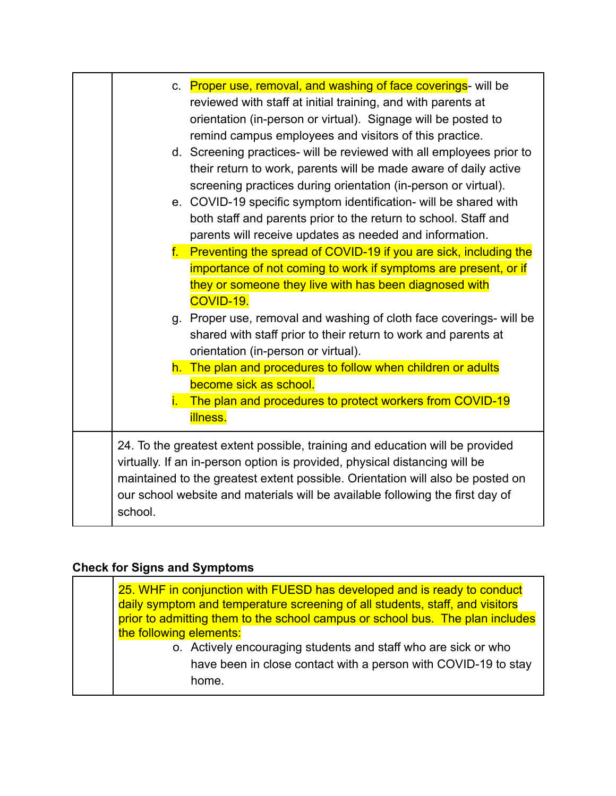|         | c. Proper use, removal, and washing of face coverings- will be                 |
|---------|--------------------------------------------------------------------------------|
|         | reviewed with staff at initial training, and with parents at                   |
|         | orientation (in-person or virtual). Signage will be posted to                  |
|         | remind campus employees and visitors of this practice.                         |
|         | d. Screening practices- will be reviewed with all employees prior to           |
|         | their return to work, parents will be made aware of daily active               |
|         | screening practices during orientation (in-person or virtual).                 |
|         | e. COVID-19 specific symptom identification- will be shared with               |
|         | both staff and parents prior to the return to school. Staff and                |
|         | parents will receive updates as needed and information.                        |
|         | f. Preventing the spread of COVID-19 if you are sick, including the            |
|         | importance of not coming to work if symptoms are present, or if                |
|         | they or someone they live with has been diagnosed with                         |
|         | COVID-19.                                                                      |
|         | g. Proper use, removal and washing of cloth face coverings- will be            |
|         | shared with staff prior to their return to work and parents at                 |
|         | orientation (in-person or virtual).                                            |
|         | h. The plan and procedures to follow when children or adults                   |
|         | become sick as school.                                                         |
|         | The plan and procedures to protect workers from COVID-19                       |
|         | <b>illness.</b>                                                                |
|         | 24. To the greatest extent possible, training and education will be provided   |
|         | virtually. If an in-person option is provided, physical distancing will be     |
|         | maintained to the greatest extent possible. Orientation will also be posted on |
|         | our school website and materials will be available following the first day of  |
| school. |                                                                                |
|         |                                                                                |

#### **Check for Signs and Symptoms**

25. WHF in conjunction with FUESD has developed and is ready to conduct daily symptom and temperature screening of all students, staff, and visitors prior to admitting them to the school campus or school bus. The plan includes the following elements: o. Actively encouraging students and staff who are sick or who have been in close contact with a person with COVID-19 to stay home.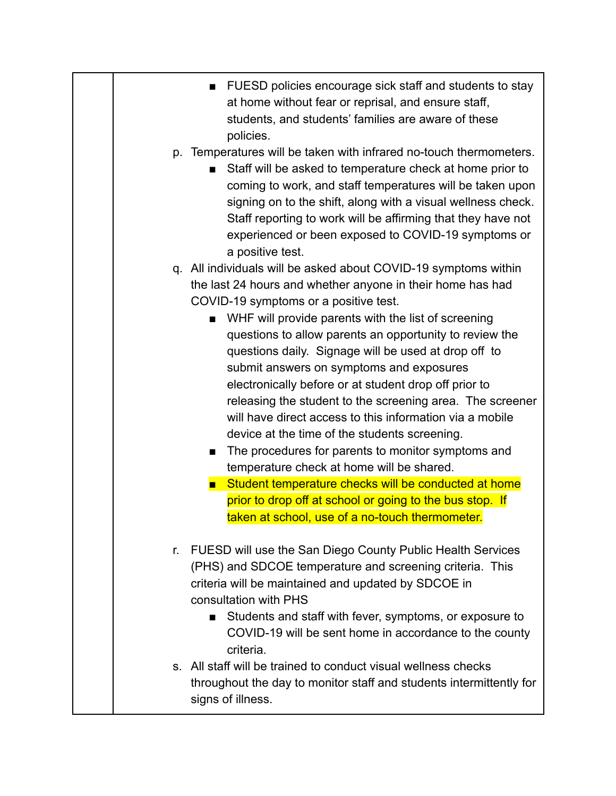- FUESD policies encourage sick staff and students to stay at home without fear or reprisal, and ensure staff, students, and students' families are aware of these policies.
- p. Temperatures will be taken with infrared no-touch thermometers.
	- Staff will be asked to temperature check at home prior to coming to work, and staff temperatures will be taken upon signing on to the shift, along with a visual wellness check. Staff reporting to work will be affirming that they have not experienced or been exposed to COVID-19 symptoms or a positive test.
- q. All individuals will be asked about COVID-19 symptoms within the last 24 hours and whether anyone in their home has had COVID-19 symptoms or a positive test.
	- WHF will provide parents with the list of screening questions to allow parents an opportunity to review the questions daily. Signage will be used at drop off to submit answers on symptoms and exposures electronically before or at student drop off prior to releasing the student to the screening area. The screener will have direct access to this information via a mobile device at the time of the students screening.
	- The procedures for parents to monitor symptoms and temperature check at home will be shared.
	- Student temperature checks will be conducted at home prior to drop off at school or going to the bus stop. If taken at school, use of a no-touch thermometer.
- r. FUESD will use the San Diego County Public Health Services (PHS) and SDCOE temperature and screening criteria. This criteria will be maintained and updated by SDCOE in consultation with PHS
	- Students and staff with fever, symptoms, or exposure to COVID-19 will be sent home in accordance to the county criteria.
- s. All staff will be trained to conduct visual wellness checks throughout the day to monitor staff and students intermittently for signs of illness.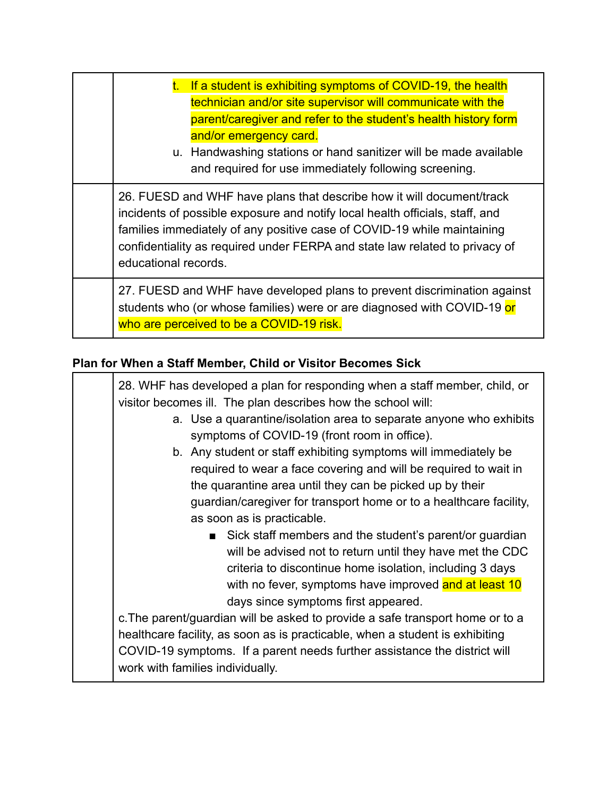| t. If a student is exhibiting symptoms of COVID-19, the health<br>technician and/or site supervisor will communicate with the<br>parent/caregiver and refer to the student's health history form<br>and/or emergency card.<br>u. Handwashing stations or hand sanitizer will be made available<br>and required for use immediately following screening. |
|---------------------------------------------------------------------------------------------------------------------------------------------------------------------------------------------------------------------------------------------------------------------------------------------------------------------------------------------------------|
| 26. FUESD and WHF have plans that describe how it will document/track<br>incidents of possible exposure and notify local health officials, staff, and<br>families immediately of any positive case of COVID-19 while maintaining<br>confidentiality as required under FERPA and state law related to privacy of<br>educational records.                 |
| 27. FUESD and WHF have developed plans to prevent discrimination against<br>students who (or whose families) were or are diagnosed with COVID-19 or<br>who are perceived to be a COVID-19 risk.                                                                                                                                                         |

## **Plan for When a Staff Member, Child or Visitor Becomes Sick**

| 28. WHF has developed a plan for responding when a staff member, child, or    |
|-------------------------------------------------------------------------------|
| visitor becomes ill. The plan describes how the school will:                  |
| a. Use a quarantine/isolation area to separate anyone who exhibits            |
| symptoms of COVID-19 (front room in office).                                  |
| b. Any student or staff exhibiting symptoms will immediately be               |
| required to wear a face covering and will be required to wait in              |
| the quarantine area until they can be picked up by their                      |
| guardian/caregiver for transport home or to a healthcare facility,            |
| as soon as is practicable.                                                    |
| Sick staff members and the student's parent/or guardian                       |
| will be advised not to return until they have met the CDC                     |
| criteria to discontinue home isolation, including 3 days                      |
| with no fever, symptoms have improved and at least 10                         |
| days since symptoms first appeared.                                           |
| c. The parent/guardian will be asked to provide a safe transport home or to a |
| healthcare facility, as soon as is practicable, when a student is exhibiting  |
| COVID-19 symptoms. If a parent needs further assistance the district will     |
| work with families individually.                                              |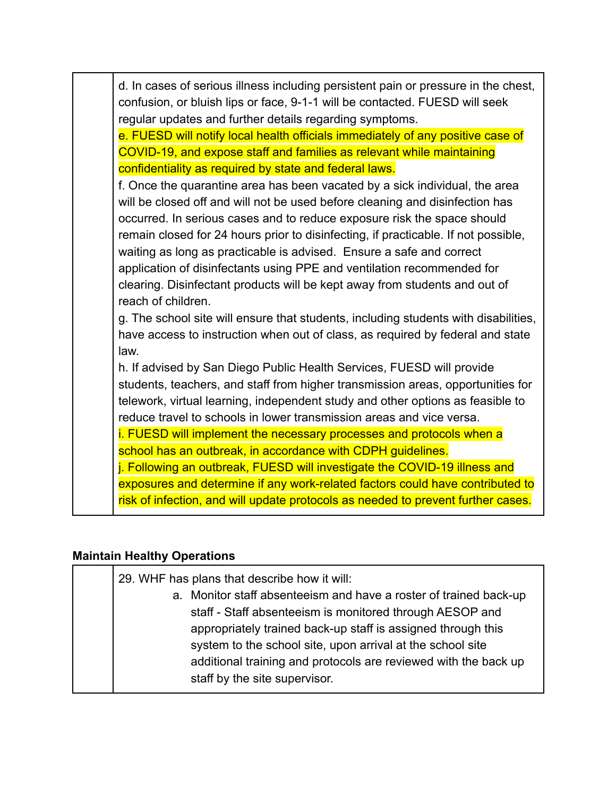| d. In cases of serious illness including persistent pain or pressure in the chest,<br>confusion, or bluish lips or face, 9-1-1 will be contacted. FUESD will seek<br>regular updates and further details regarding symptoms.                                                                                                                                                                                                                                                                                                                                                                                                                                              |
|---------------------------------------------------------------------------------------------------------------------------------------------------------------------------------------------------------------------------------------------------------------------------------------------------------------------------------------------------------------------------------------------------------------------------------------------------------------------------------------------------------------------------------------------------------------------------------------------------------------------------------------------------------------------------|
| e. FUESD will notify local health officials immediately of any positive case of                                                                                                                                                                                                                                                                                                                                                                                                                                                                                                                                                                                           |
| COVID-19, and expose staff and families as relevant while maintaining                                                                                                                                                                                                                                                                                                                                                                                                                                                                                                                                                                                                     |
| confidentiality as required by state and federal laws.                                                                                                                                                                                                                                                                                                                                                                                                                                                                                                                                                                                                                    |
| f. Once the quarantine area has been vacated by a sick individual, the area<br>will be closed off and will not be used before cleaning and disinfection has<br>occurred. In serious cases and to reduce exposure risk the space should<br>remain closed for 24 hours prior to disinfecting, if practicable. If not possible,<br>waiting as long as practicable is advised. Ensure a safe and correct<br>application of disinfectants using PPE and ventilation recommended for<br>clearing. Disinfectant products will be kept away from students and out of<br>reach of children.<br>g. The school site will ensure that students, including students with disabilities, |
| have access to instruction when out of class, as required by federal and state<br>law.                                                                                                                                                                                                                                                                                                                                                                                                                                                                                                                                                                                    |
| h. If advised by San Diego Public Health Services, FUESD will provide                                                                                                                                                                                                                                                                                                                                                                                                                                                                                                                                                                                                     |
| students, teachers, and staff from higher transmission areas, opportunities for                                                                                                                                                                                                                                                                                                                                                                                                                                                                                                                                                                                           |
| telework, virtual learning, independent study and other options as feasible to                                                                                                                                                                                                                                                                                                                                                                                                                                                                                                                                                                                            |
| reduce travel to schools in lower transmission areas and vice versa.                                                                                                                                                                                                                                                                                                                                                                                                                                                                                                                                                                                                      |
| i. FUESD will implement the necessary processes and protocols when a                                                                                                                                                                                                                                                                                                                                                                                                                                                                                                                                                                                                      |
| school has an outbreak, in accordance with CDPH guidelines.                                                                                                                                                                                                                                                                                                                                                                                                                                                                                                                                                                                                               |
| j. Following an outbreak, FUESD will investigate the COVID-19 illness and                                                                                                                                                                                                                                                                                                                                                                                                                                                                                                                                                                                                 |
| exposures and determine if any work-related factors could have contributed to                                                                                                                                                                                                                                                                                                                                                                                                                                                                                                                                                                                             |
| risk of infection, and will update protocols as needed to prevent further cases.                                                                                                                                                                                                                                                                                                                                                                                                                                                                                                                                                                                          |

## **Maintain Healthy Operations**

| 29. WHF has plans that describe how it will:                      |
|-------------------------------------------------------------------|
| a. Monitor staff absenteeism and have a roster of trained back-up |
| staff - Staff absenteeism is monitored through AESOP and          |
| appropriately trained back-up staff is assigned through this      |
| system to the school site, upon arrival at the school site        |
| additional training and protocols are reviewed with the back up   |
| staff by the site supervisor.                                     |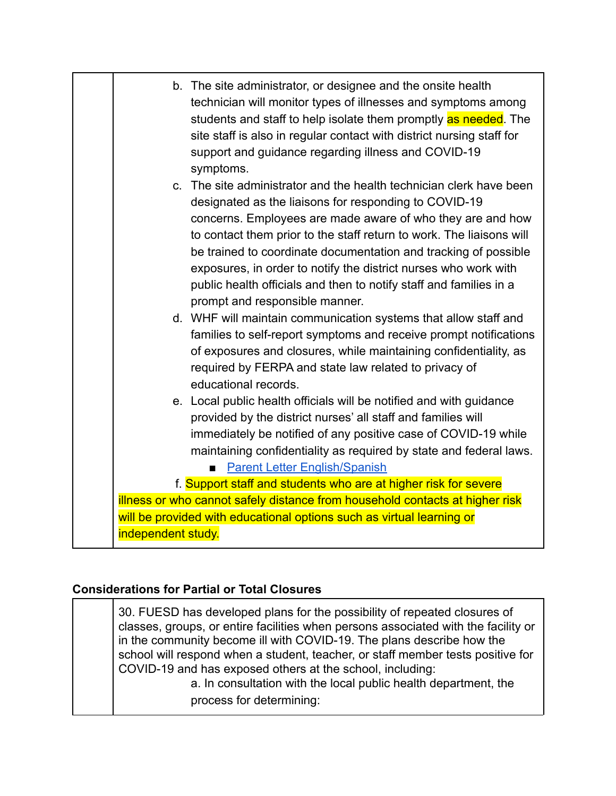|                    | b. The site administrator, or designee and the onsite health<br>technician will monitor types of illnesses and symptoms among<br>students and staff to help isolate them promptly as needed. The<br>site staff is also in regular contact with district nursing staff for<br>support and guidance regarding illness and COVID-19<br>symptoms.                                                                                                                                                                    |
|--------------------|------------------------------------------------------------------------------------------------------------------------------------------------------------------------------------------------------------------------------------------------------------------------------------------------------------------------------------------------------------------------------------------------------------------------------------------------------------------------------------------------------------------|
|                    | c. The site administrator and the health technician clerk have been<br>designated as the liaisons for responding to COVID-19<br>concerns. Employees are made aware of who they are and how<br>to contact them prior to the staff return to work. The liaisons will<br>be trained to coordinate documentation and tracking of possible<br>exposures, in order to notify the district nurses who work with<br>public health officials and then to notify staff and families in a<br>prompt and responsible manner. |
|                    | d. WHF will maintain communication systems that allow staff and<br>families to self-report symptoms and receive prompt notifications<br>of exposures and closures, while maintaining confidentiality, as<br>required by FERPA and state law related to privacy of<br>educational records.                                                                                                                                                                                                                        |
|                    | e. Local public health officials will be notified and with guidance<br>provided by the district nurses' all staff and families will<br>immediately be notified of any positive case of COVID-19 while<br>maintaining confidentiality as required by state and federal laws.<br>Parent Letter English/Spanish                                                                                                                                                                                                     |
|                    | f. Support staff and students who are at higher risk for severe                                                                                                                                                                                                                                                                                                                                                                                                                                                  |
|                    | illness or who cannot safely distance from household contacts at higher risk                                                                                                                                                                                                                                                                                                                                                                                                                                     |
|                    | will be provided with educational options such as virtual learning or                                                                                                                                                                                                                                                                                                                                                                                                                                            |
| independent study. |                                                                                                                                                                                                                                                                                                                                                                                                                                                                                                                  |

#### **Considerations for Partial or Total Closures**

30. FUESD has developed plans for the possibility of repeated closures of classes, groups, or entire facilities when persons associated with the facility or in the community become ill with COVID-19. The plans describe how the school will respond when a student, teacher, or staff member tests positive for COVID-19 and has exposed others at the school, including: a. In consultation with the local public health department, the

process for determining: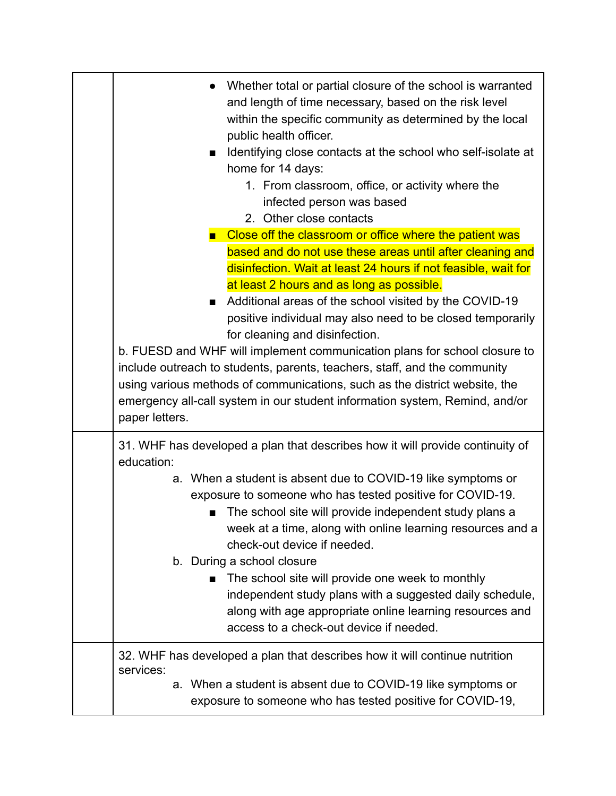| Whether total or partial closure of the school is warranted<br>and length of time necessary, based on the risk level<br>within the specific community as determined by the local<br>public health officer.<br>Identifying close contacts at the school who self-isolate at<br>home for 14 days:<br>1. From classroom, office, or activity where the<br>infected person was based<br>2. Other close contacts<br>Close off the classroom or office where the patient was<br>based and do not use these areas until after cleaning and<br>disinfection. Wait at least 24 hours if not feasible, wait for<br>at least 2 hours and as long as possible.<br>Additional areas of the school visited by the COVID-19<br>п<br>positive individual may also need to be closed temporarily<br>for cleaning and disinfection.<br>b. FUESD and WHF will implement communication plans for school closure to<br>include outreach to students, parents, teachers, staff, and the community<br>using various methods of communications, such as the district website, the<br>emergency all-call system in our student information system, Remind, and/or<br>paper letters. |
|------------------------------------------------------------------------------------------------------------------------------------------------------------------------------------------------------------------------------------------------------------------------------------------------------------------------------------------------------------------------------------------------------------------------------------------------------------------------------------------------------------------------------------------------------------------------------------------------------------------------------------------------------------------------------------------------------------------------------------------------------------------------------------------------------------------------------------------------------------------------------------------------------------------------------------------------------------------------------------------------------------------------------------------------------------------------------------------------------------------------------------------------------------|
| 31. WHF has developed a plan that describes how it will provide continuity of<br>education:<br>a. When a student is absent due to COVID-19 like symptoms or<br>exposure to someone who has tested positive for COVID-19.                                                                                                                                                                                                                                                                                                                                                                                                                                                                                                                                                                                                                                                                                                                                                                                                                                                                                                                                   |
| The school site will provide independent study plans a<br>week at a time, along with online learning resources and a<br>check-out device if needed.<br>b. During a school closure                                                                                                                                                                                                                                                                                                                                                                                                                                                                                                                                                                                                                                                                                                                                                                                                                                                                                                                                                                          |
| The school site will provide one week to monthly<br>independent study plans with a suggested daily schedule,<br>along with age appropriate online learning resources and<br>access to a check-out device if needed.                                                                                                                                                                                                                                                                                                                                                                                                                                                                                                                                                                                                                                                                                                                                                                                                                                                                                                                                        |
| 32. WHF has developed a plan that describes how it will continue nutrition<br>services:<br>a. When a student is absent due to COVID-19 like symptoms or<br>exposure to someone who has tested positive for COVID-19,                                                                                                                                                                                                                                                                                                                                                                                                                                                                                                                                                                                                                                                                                                                                                                                                                                                                                                                                       |